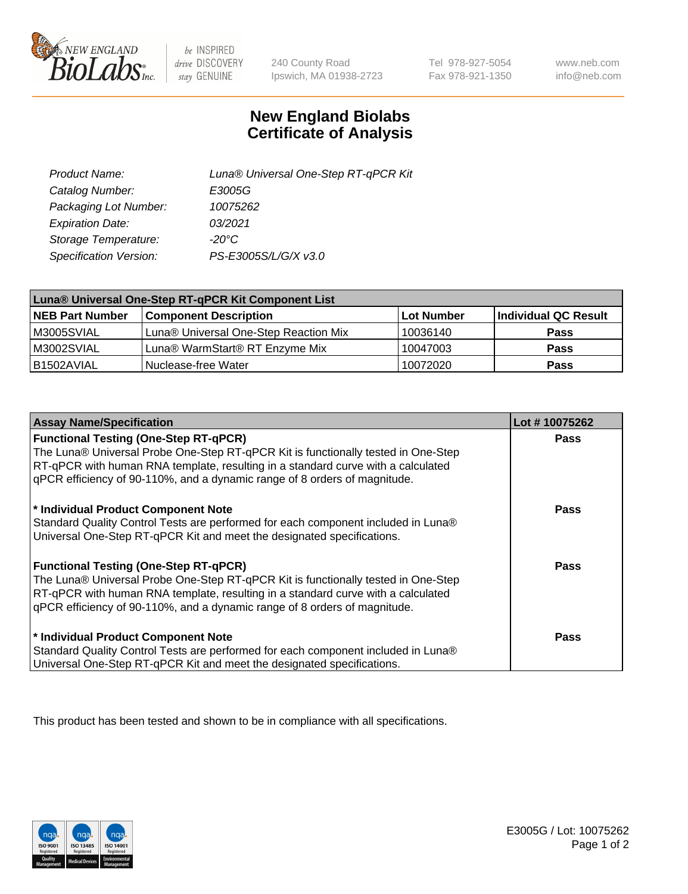

be INSPIRED drive DISCOVERY stay GENUINE

240 County Road Ipswich, MA 01938-2723

Tel 978-927-5054 Fax 978-921-1350

www.neb.com info@neb.com

## **New England Biolabs Certificate of Analysis**

| Product Name:           | Luna® Universal One-Step RT-qPCR Kit |
|-------------------------|--------------------------------------|
| Catalog Number:         | E3005G                               |
| Packaging Lot Number:   | 10075262                             |
| <b>Expiration Date:</b> | 03/2021                              |
| Storage Temperature:    | $-20^{\circ}$ C                      |
| Specification Version:  | PS-E3005S/L/G/X v3.0                 |

| Luna® Universal One-Step RT-qPCR Kit Component List |                                       |              |                      |  |
|-----------------------------------------------------|---------------------------------------|--------------|----------------------|--|
| <b>NEB Part Number</b>                              | <b>Component Description</b>          | l Lot Number | Individual QC Result |  |
| M3005SVIAL                                          | Luna® Universal One-Step Reaction Mix | 10036140     | <b>Pass</b>          |  |
| M3002SVIAL                                          | Luna® WarmStart® RT Enzyme Mix        | 10047003     | <b>Pass</b>          |  |
| B1502AVIAL                                          | Nuclease-free Water                   | 10072020     | Pass                 |  |

| <b>Assay Name/Specification</b>                                                                                                                                                                                                                                                                    | Lot #10075262 |
|----------------------------------------------------------------------------------------------------------------------------------------------------------------------------------------------------------------------------------------------------------------------------------------------------|---------------|
| <b>Functional Testing (One-Step RT-qPCR)</b><br>The Luna® Universal Probe One-Step RT-qPCR Kit is functionally tested in One-Step                                                                                                                                                                  | <b>Pass</b>   |
| RT-qPCR with human RNA template, resulting in a standard curve with a calculated<br>gPCR efficiency of 90-110%, and a dynamic range of 8 orders of magnitude.                                                                                                                                      |               |
| * Individual Product Component Note<br>Standard Quality Control Tests are performed for each component included in Luna®<br>Universal One-Step RT-qPCR Kit and meet the designated specifications.                                                                                                 | Pass          |
| <b>Functional Testing (One-Step RT-qPCR)</b><br>The Luna® Universal Probe One-Step RT-qPCR Kit is functionally tested in One-Step<br>RT-qPCR with human RNA template, resulting in a standard curve with a calculated<br>gPCR efficiency of 90-110%, and a dynamic range of 8 orders of magnitude. | Pass          |
| * Individual Product Component Note<br>Standard Quality Control Tests are performed for each component included in Luna®<br>Universal One-Step RT-qPCR Kit and meet the designated specifications.                                                                                                 | <b>Pass</b>   |

This product has been tested and shown to be in compliance with all specifications.